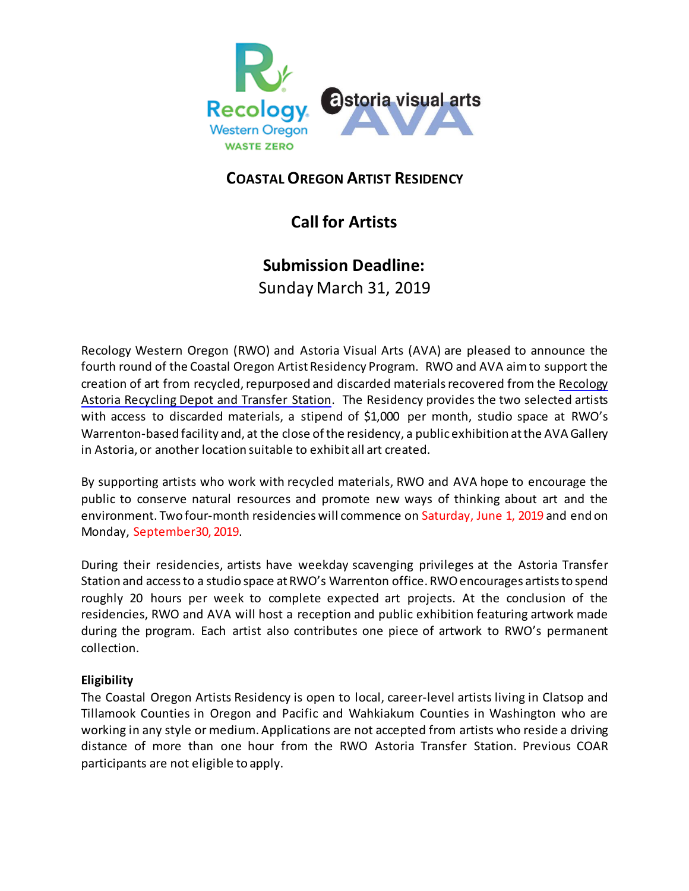

## **COASTALOREGON ARTIST RESIDENCY**

# **Call for Artists**

## **Submission Deadline:**

Sunday March 31, 2019

Recology Western Oregon (RWO) and Astoria Visual Arts (AVA) are pleased to announce the fourth round of the Coastal Oregon Artist Residency Program. RWO and AVA aimto support the creation of art from recycled, repurposed and discarded materials recovered from the [Recology](http://www.recologywesternoregon.com/index.php/clatsop-counties/astoria-transfer-station) Astoria [Recycling](http://www.recologywesternoregon.com/index.php/clatsop-counties/astoria-transfer-station) Depot and Transfer Station. The Residency provides the two selected artists with access to discarded materials, a stipend of \$1,000 per month, studio space at RWO's Warrenton-based facility and, at the close of the residency, a public exhibition at the AVA Gallery in Astoria, or another location suitable to exhibit all art created.

By supporting artists who work with recycled materials, RWO and AVA hope to encourage the public to conserve natural resources and promote new ways of thinking about art and the environment. Two four-month residencies will commence on Saturday, June 1, 2019 and end on Monday, September30, 2019.

During their residencies, artists have weekday scavenging privileges at the Astoria Transfer Station and access to a studio space at RWO's Warrenton office. RWO encourages artists to spend roughly 20 hours per week to complete expected art projects. At the conclusion of the residencies, RWO and AVA will host a reception and public exhibition featuring artwork made during the program. Each artist also contributes one piece of artwork to RWO's permanent collection.

### **Eligibility**

The Coastal Oregon Artists Residency is open to local, career-level artists living in Clatsop and Tillamook Counties in Oregon and Pacific and Wahkiakum Counties in Washington who are working in any style or medium. Applications are not accepted from artists who reside a driving distance of more than one hour from the RWO Astoria Transfer Station. Previous COAR participants are not eligible to apply.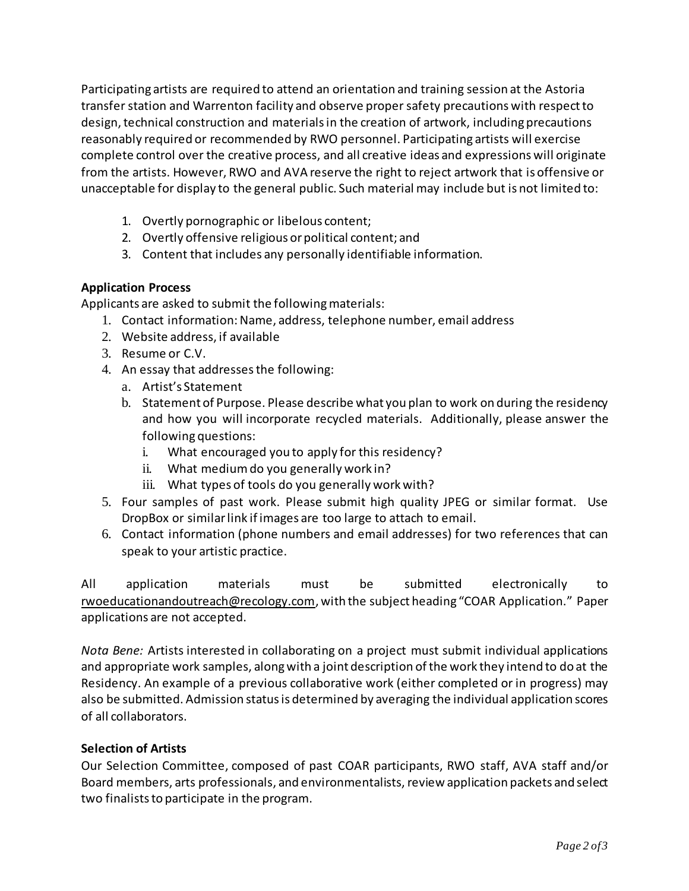Participating artists are required to attend an orientation and training session at the Astoria transfer station and Warrenton facility and observe proper safety precautions with respect to design, technical construction and materials in the creation of artwork, including precautions reasonably required or recommended by RWO personnel. Participating artists will exercise complete control over the creative process, and all creative ideas and expressions will originate from the artists. However, RWO and AVA reserve the right to reject artwork that is offensive or unacceptable for display to the general public. Such material may include but is not limited to:

- 1. Overtly pornographic or libelous content;
- 2. Overtly offensive religious orpolitical content; and
- 3. Content that includes any personally identifiable information.

### **Application Process**

Applicants are asked to submit the following materials:

- 1. Contact information:Name, address, telephone number, email address
- 2. Website address, if available
- 3. Resume or C.V.
- 4. An essay that addressesthe following:
	- a. Artist's Statement
	- b. Statement of Purpose. Please describe what you plan to work on during the residency and how you will incorporate recycled materials. Additionally, please answer the following questions:
		- i. What encouraged you to apply for this residency?
		- ii. What mediumdo you generally work in?
		- iii. What types of tools do you generally work with?
- 5. Four samples of past work. Please submit high quality JPEG or similar format. Use DropBox or similarlink if images are too large to attach to email.
- 6. Contact information (phone numbers and email addresses) for two references that can speak to your artistic practice.

All application materials must be submitted electronically to [rwoeducationandoutreach@recology.com,](mailto:rwoeducationandoutreach@recology.com) with the subject heading "COAR Application." Paper applications are not accepted.

*Nota Bene:* Artists interested in collaborating on a project must submit individual applications and appropriate work samples, alongwith a joint description ofthe work they intend to do at the Residency. An example of a previous collaborative work (either completed or in progress) may also be submitted. Admission status is determined by averaging the individual application scores of all collaborators.

### **Selection of Artists**

Our Selection Committee, composed of past COAR participants, RWO staff, AVA staff and/or Board members, arts professionals, and environmentalists, review application packets and select two finalists to participate in the program.